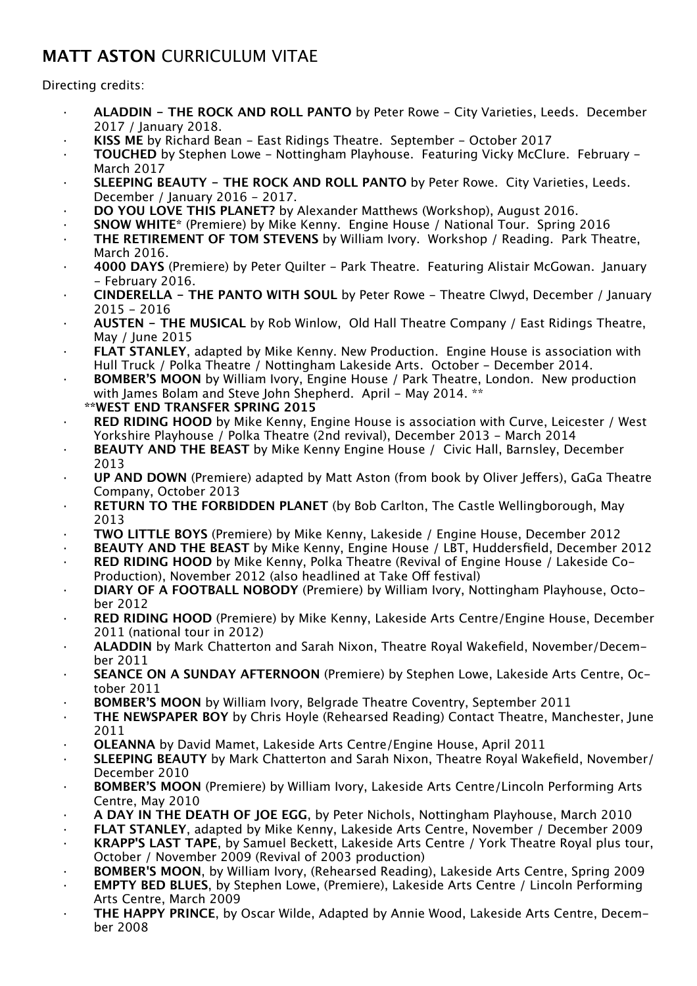## **MATT ASTON** CURRICULUM VITAE

## Directing credits:

- · **ALADDIN THE ROCK AND ROLL PANTO** by Peter Rowe City Varieties, Leeds. December 2017 / January 2018.
- · **KISS ME** by Richard Bean East Ridings Theatre. September October 2017
- · **TOUCHED** by Stephen Lowe Nottingham Playhouse. Featuring Vicky McClure. February March 2017
- · **SLEEPING BEAUTY THE ROCK AND ROLL PANTO** by Peter Rowe. City Varieties, Leeds. December / January 2016 - 2017.
- · **DO YOU LOVE THIS PLANET?** by Alexander Matthews (Workshop), August 2016.
- · **SNOW WHITE\*** (Premiere) by Mike Kenny. Engine House / National Tour. Spring 2016
- **THE RETIREMENT OF TOM STEVENS** by William Ivory. Workshop / Reading. Park Theatre, March 2016.
- · **4000 DAYS** (Premiere) by Peter Quilter Park Theatre. Featuring Alistair McGowan. January - February 2016.
- · **CINDERELLA THE PANTO WITH SOUL** by Peter Rowe Theatre Clwyd, December / January 2015 - 2016
- · **AUSTEN THE MUSICAL** by Rob Winlow, Old Hall Theatre Company / East Ridings Theatre, May / June 2015
- · **FLAT STANLEY**, adapted by Mike Kenny. New Production. Engine House is association with Hull Truck / Polka Theatre / Nottingham Lakeside Arts. October - December 2014.
- **BOMBER'S MOON** by William Ivory, Engine House / Park Theatre, London. New production with James Bolam and Steve John Shepherd. April - May 2014. \*\*
- **\*\*WEST END TRANSFER SPRING 2015**
- **RED RIDING HOOD** by Mike Kenny, Engine House is association with Curve, Leicester / West Yorkshire Playhouse / Polka Theatre (2nd revival), December 2013 - March 2014
- **BEAUTY AND THE BEAST** by Mike Kenny Engine House / Civic Hall, Barnsley, December 2013
- · **UP AND DOWN** (Premiere) adapted by Matt Aston (from book by Oliver Jefers), GaGa Theatre Company, October 2013
- · **RETURN TO THE FORBIDDEN PLANET** (by Bob Carlton, The Castle Wellingborough, May 2013
- · **TWO LITTLE BOYS** (Premiere) by Mike Kenny, Lakeside / Engine House, December 2012
- · **BEAUTY AND THE BEAST** by Mike Kenny, Engine House / LBT, Huddersfield, December 2012 · **RED RIDING HOOD** by Mike Kenny, Polka Theatre (Revival of Engine House / Lakeside Co-
- Production), November 2012 (also headlined at Take Off festival)
- · **DIARY OF A FOOTBALL NOBODY** (Premiere) by William Ivory, Nottingham Playhouse, October 2012
- · **RED RIDING HOOD** (Premiere) by Mike Kenny, Lakeside Arts Centre/Engine House, December 2011 (national tour in 2012)
- · **ALADDIN** by Mark Chatterton and Sarah Nixon, Theatre Royal Wakefield, November/December 2011
- · **SEANCE ON A SUNDAY AFTERNOON** (Premiere) by Stephen Lowe, Lakeside Arts Centre, October 2011
- · **BOMBER'S MOON** by William Ivory, Belgrade Theatre Coventry, September 2011
- · **THE NEWSPAPER BOY** by Chris Hoyle (Rehearsed Reading) Contact Theatre, Manchester, June 2011
- · **OLEANNA** by David Mamet, Lakeside Arts Centre/Engine House, April 2011
- · **SLEEPING BEAUTY** by Mark Chatterton and Sarah Nixon, Theatre Royal Wakefield, November/ December 2010
- · **BOMBER'S MOON** (Premiere) by William Ivory, Lakeside Arts Centre/Lincoln Performing Arts Centre, May 2010
- · **A DAY IN THE DEATH OF JOE EGG**, by Peter Nichols, Nottingham Playhouse, March 2010
- FLAT STANLEY, adapted by Mike Kenny, Lakeside Arts Centre, November / December 2009
- · **KRAPP'S LAST TAPE**, by Samuel Beckett, Lakeside Arts Centre / York Theatre Royal plus tour, October / November 2009 (Revival of 2003 production)
- · **BOMBER'S MOON**, by William Ivory, (Rehearsed Reading), Lakeside Arts Centre, Spring 2009
- · **EMPTY BED BLUES**, by Stephen Lowe, (Premiere), Lakeside Arts Centre / Lincoln Performing Arts Centre, March 2009
- · **THE HAPPY PRINCE**, by Oscar Wilde, Adapted by Annie Wood, Lakeside Arts Centre, December 2008